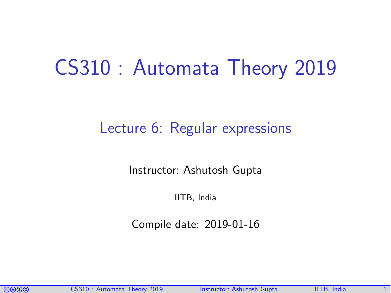# CS310 : Automata Theory 2019

#### Lecture 6: Regular expressions

Instructor: [Ashutosh Gupta](http://www.cse.iitb.ac.in/~akg/)

IITB, India

Compile date: 2019-01-16

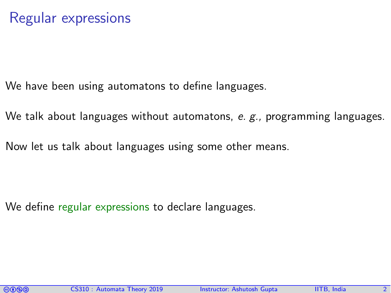We have been using automatons to define languages.

We talk about languages without automatons, e.  $g_{\alpha}$ , programming languages.

Now let us talk about languages using some other means.

We define regular expressions to declare languages.

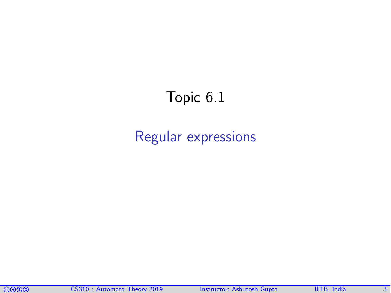## Topic 6.1

#### <span id="page-2-0"></span>[Regular expressions](#page-2-0)

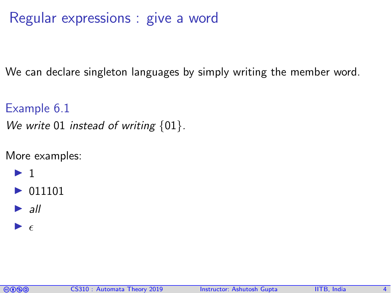#### Regular expressions : give a word

We can declare singleton languages by simply writing the member word.

Example 6.1 We write 01 instead of writing  $\{01\}$ .

More examples:

- $\blacktriangleright$  1
- $\triangleright$  011101
- $\blacktriangleright$  all
- $\blacktriangleright$   $\epsilon$

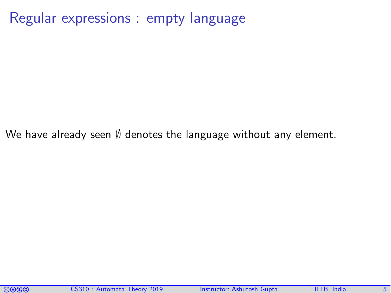Regular expressions : empty language

We have already seen  $\emptyset$  denotes the language without any element.

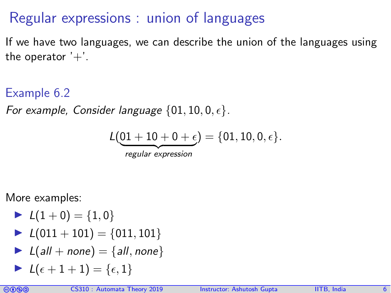### Regular expressions : union of languages

If we have two languages, we can describe the union of the languages using the operator  $'+'.$ 

Example 6.2

For example, Consider language  $\{01, 10, 0, \epsilon\}.$ 

$$
L(\underbrace{01+10+0+\epsilon}_{regular \text{ expression}}) = \{01, 10, 0, \epsilon\}.
$$

More examples:

► 
$$
L(1+0) = {1,0}
$$
  
\n►  $L(011 + 101) = {011, 101}$   
\n►  $L(all + none) = {all, none}$   
\n►  $L(\epsilon + 1 + 1) = {\epsilon, 1}$ 

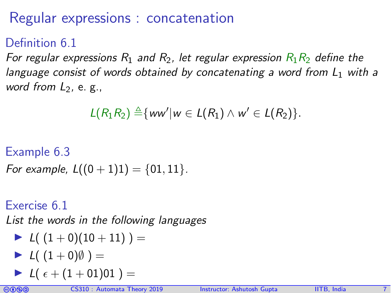## Regular expressions : concatenation

#### Definition 6.1

For regular expressions  $R_1$  and  $R_2$ , let regular expression  $R_1R_2$  define the language consist of words obtained by concatenating a word from  $L_1$  with a word from  $L_2$ , e. g.,

$$
L(R_1R_2) \triangleq \{ww'|w \in L(R_1) \wedge w' \in L(R_2)\}.
$$

#### Example 6.3

For example,  $L((0 + 1)1) = \{01, 11\}$ .

#### Exercise 6.1

List the words in the following languages

$$
\blacktriangleright \ L( (1+0)(10+11) ) =
$$

$$
\blacktriangleright \ L(\ (1+0)\emptyset \ ) =
$$

$$
\blacktriangleright \hspace{0.1cm} L(\hspace{0.1cm} \epsilon + (1+01)01 \hspace{0.1cm} ) =
$$

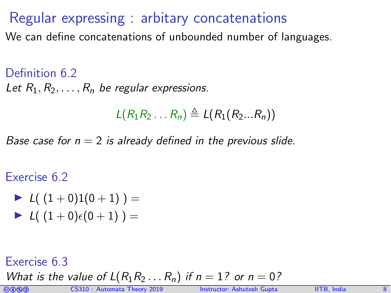#### Regular expressing : arbitary concatenations

We can define concatenations of unbounded number of languages.

Definition 6.2 Let  $R_1, R_2, \ldots, R_n$  be regular expressions.

 $L(R_1R_2 \ldots R_n) \triangleq L(R_1(R_2...R_n))$ 

Base case for  $n = 2$  is already defined in the previous slide.

Exercise 6.2

► 
$$
L((1+0)1(0+1)) =
$$
  
\n►  $L((1+0)\epsilon(0+1)) =$ 

Exercise 6.3

What is the value of  $L(R_1R_2...R_n)$  if  $n = 1$ ? or  $n = 0$ ?

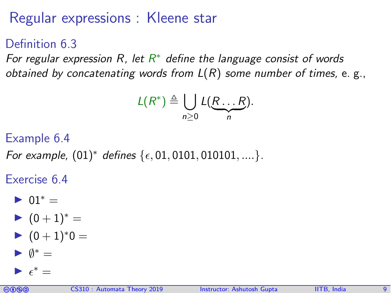## Regular expressions : Kleene star

Definition 6.3

For regular expression R, let  $R^*$  define the language consist of words obtained by concatenating words from  $L(R)$  some number of times, e. g.,

$$
L(R^*) \triangleq \bigcup_{n\geq 0} L(R...R).
$$

Example 6.4

For example,  $(01)^*$  defines  $\{\epsilon, 01, 0101, 010101, \dots\}$ .

Exercise 6.4

$$
\blacktriangleright \ 01^* =
$$

$$
\blacktriangleright \hspace{0.1cm} (0+1)^* =
$$

$$
\blacktriangleright \hspace{0.1cm} (0+1)^*0 =
$$

$$
\blacktriangleright \ \emptyset^* =
$$

$$
\blacktriangleright \epsilon^* =
$$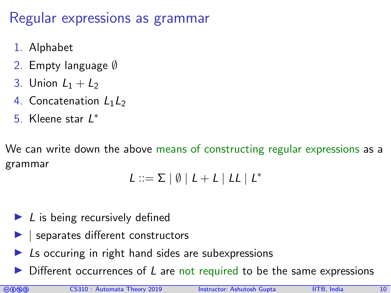#### Regular expressions as grammar

- 1. Alphabet
- 2. Empty language ∅
- 3. Union  $L_1 + L_2$
- 4. Concatenation  $L_1L_2$
- 5. Kleene star L<sup>∗</sup>

We can write down the above means of constructing regular expressions as a grammar

$$
L ::= \Sigma \mid \emptyset \mid L + L \mid LL \mid L^*
$$

- $\blacktriangleright$  L is being recursively defined
- $\vert$  separates different constructors
- Ls occuring in right hand sides are subexpressions
- Different occurrences of  $L$  are not required to be the same expressions

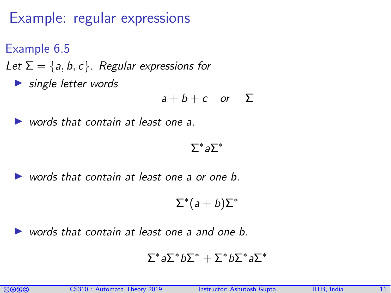## Example: regular expressions

Example 6.5

Let  $\Sigma = \{a, b, c\}$ . Regular expressions for

 $\blacktriangleright$  single letter words

$$
a+b+c \quad or \quad \Sigma
$$

words that contain at least one a.

 $\Sigma^*$ a $\Sigma^*$ 

words that contain at least one a or one b.

 $\Sigma^*(a+b)\Sigma^*$ 

words that contain at least one a and one b.

$$
\Sigma^* a \Sigma^* b \Sigma^* + \Sigma^* b \Sigma^* a \Sigma^*
$$

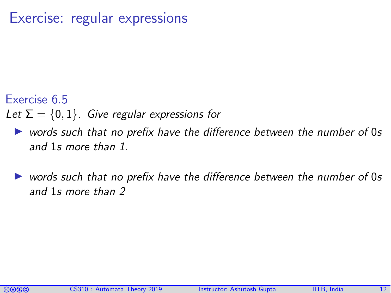#### Exercise: regular expressions

#### Exercise 6.5

Let  $\Sigma = \{0, 1\}$ . Give regular expressions for

- $\triangleright$  words such that no prefix have the difference between the number of 0s and 1s more than 1.
- words such that no prefix have the difference between the number of 0s and 1s more than 2

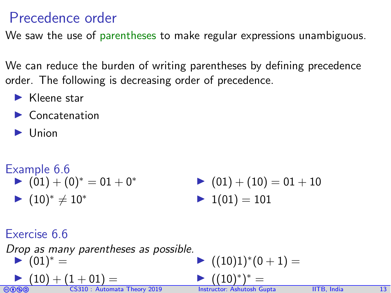#### Precedence order

We saw the use of parentheses to make regular expressions unambiguous.

We can reduce the burden of writing parentheses by defining precedence order. The following is decreasing order of precedence.

- $\blacktriangleright$  Kleene star
- $\blacktriangleright$  Concatenation
- **Union**

| <b>Example 6.6</b> | $(01) + (0)^* = 01 + 0^*$ | $(01) + (10) = 01 + 10$ |
|--------------------|---------------------------|-------------------------|
| <b>Example 6.6</b> | $(01) + (10) = 01 + 10$   |                         |
| <b>Example 6.6</b> | $(01) + (10) = 01 + 10$   |                         |

Exercise 6.6

Drop as many parentheses as possible.  $\blacktriangleright$   $(01)^* =$ 

$$
(10) + (1 + 01) =
$$

$$
= ((10)1)^*(0+1) =
$$

 $\blacktriangleright$  ((10)<sup>∗</sup> )  $* =$ 

coma CS310 : Automata Theory 2019 Instructor: [Ashutosh Gupta](http://www.cse.iitb.ac.in/~akg/) IITB, India 13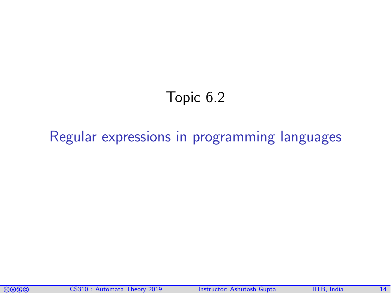## Topic 6.2

#### <span id="page-13-0"></span>[Regular expressions in programming languages](#page-13-0)

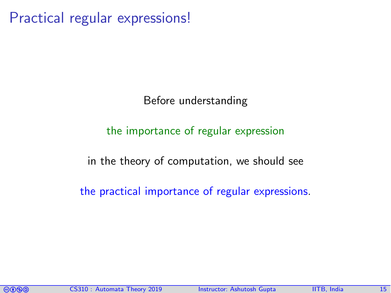Practical regular expressions!

Before understanding

#### the importance of regular expression

in the theory of computation, we should see

the practical importance of regular expressions.

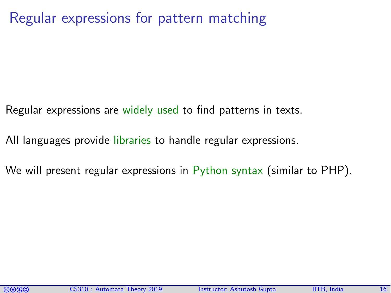Regular expressions for pattern matching

- Regular expressions are widely used to find patterns in texts.
- All languages provide libraries to handle regular expressions.
- We will present regular expressions in Python syntax (similar to PHP).

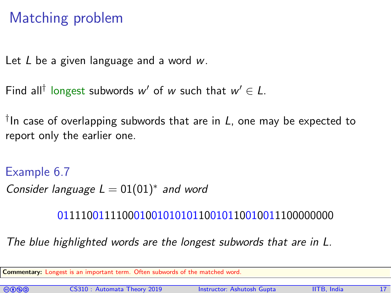## Matching problem

Let  $L$  be a given language and a word  $w$ .

```
Find all<sup>†</sup> longest subwords w' of w such that w' \in L.
```
 $^\dagger$ In case of overlapping subwords that are in  $\it L$ , one may be expected to report only the earlier one.

Example 6.7 Consider language  $L = 01(01)^*$  and word

01111001111000100101010110010110010011100000000

The blue highlighted words are the longest subwords that are in L.

Commentary: Longest is an important term. Often subwords of the matched word.

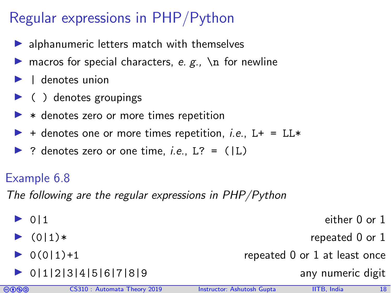## Regular expressions in PHP/Python

- $\blacktriangleright$  alphanumeric letters match with themselves
- **In** macros for special characters, e. g.,  $\ln$  for newline
- $\blacktriangleright$  | denotes union
- $\blacktriangleright$  ( ) denotes groupings
- $\triangleright$   $*$  denotes zero or more times repetition
- $\blacktriangleright$  + denotes one or more times repetition, *i.e.*, L+ = LL\*
- $\triangleright$  ? denotes zero or one time, *i.e.*, L? = (|L)

#### Example 6.8

The following are the regular expressions in PHP/Python

 $\triangleright$  0|1 either 0 or 1  $\bullet$  (0|1)\* repeated 0 or 1  $\triangleright$  0(0|1)+1 repeated 0 or 1 at least once  $\triangleright$  0|1|2|3|4|5|6|7|8|9 any numeric digit

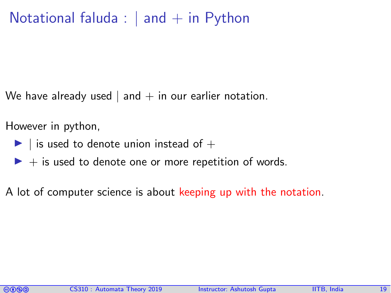#### Notational faluda :  $|$  and  $+$  in Python

We have already used  $|$  and  $+$  in our earlier notation.

However in python,

- $\blacktriangleright$  | is used to denote union instead of  $+$
- $\blacktriangleright$  + is used to denote one or more repetition of words.

A lot of computer science is about keeping up with the notation.

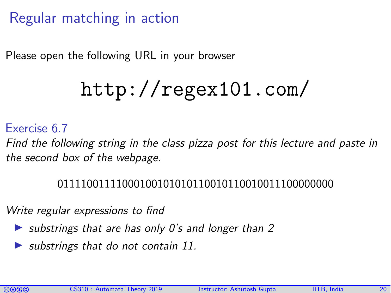## Regular matching in action

Please open the following URL in your browser

# <http://regex101.com/>

#### Exercise 6.7

Find the following string in the class pizza post for this lecture and paste in the second box of the webpage.

#### 01111001111000100101010110010110010011100000000

Write regular expressions to find

- $\triangleright$  substrings that are has only 0's and longer than 2
- substrings that do not contain 11.

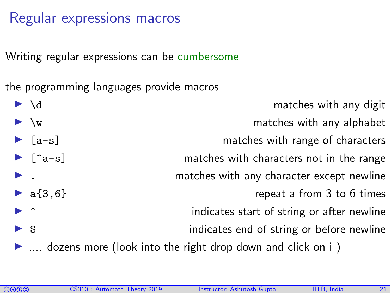#### Regular expressions macros

Writing regular expressions can be cumbersome

the programming languages provide macros

|                               | $\blacktriangleright \backslash d$    | matches with any digit                                                           |
|-------------------------------|---------------------------------------|----------------------------------------------------------------------------------|
|                               | $\blacktriangleright \vee_{W}$        | matches with any alphabet                                                        |
|                               | $\blacktriangleright$ [a-s]           | matches with range of characters                                                 |
|                               | $\blacktriangleright$ [ $\hat{a}$ -s] | matches with characters not in the range                                         |
| $\blacktriangleright$ .       |                                       | matches with any character except newline                                        |
|                               | • $a{3,6}$                            | repeat a from 3 to 6 times                                                       |
| $\blacktriangleright$ $\land$ |                                       | indicates start of string or after newline                                       |
| $\triangleright$ \$           |                                       | indicates end of string or before newline                                        |
|                               |                                       | $\blacktriangleright$ dozens more (look into the right drop down and click on i) |

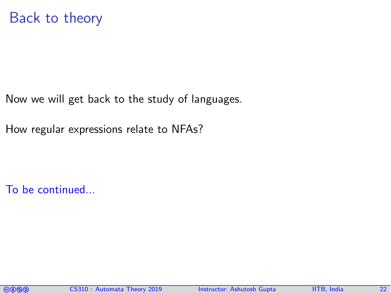Now we will get back to the study of languages.

How regular expressions relate to NFAs?

To be continued...